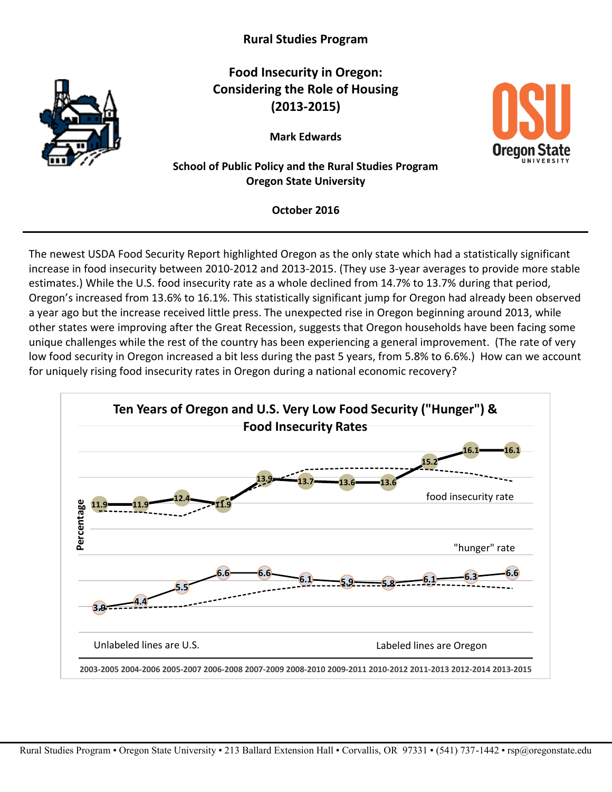# **Rural Studies Program**



**Food Insecurity in Oregon: Considering the Role of Housing (2013-2015)**

**Mark Edwards** 



### **School of Public Policy and the Rural Studies Program Oregon State University**

**October 2016**

The newest USDA Food Security Report highlighted Oregon as the only state which had a statistically significant increase in food insecurity between 2010-2012 and 2013-2015. (They use 3-year averages to provide more stable estimates.) While the U.S. food insecurity rate as a whole declined from 14.7% to 13.7% during that period, Oregon's increased from 13.6% to 16.1%. This statistically significant jump for Oregon had already been observed a year ago but the increase received little press. The unexpected rise in Oregon beginning around 2013, while other states were improving after the Great Recession, suggests that Oregon households have been facing some unique challenges while the rest of the country has been experiencing a general improvement. (The rate of very low food security in Oregon increased a bit less during the past 5 years, from 5.8% to 6.6%.) How can we account for uniquely rising food insecurity rates in Oregon during a national economic recovery?

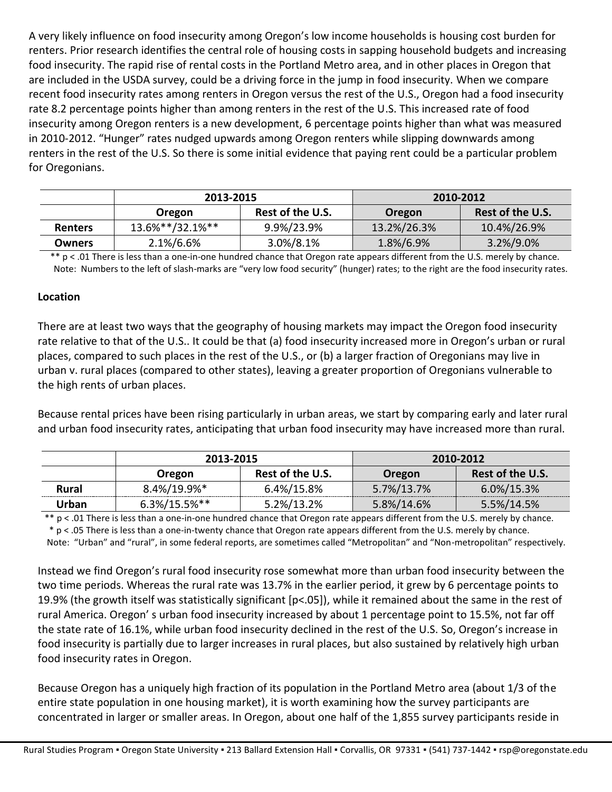A very likely influence on food insecurity among Oregon's low income households is housing cost burden for renters. Prior research identifies the central role of housing costs in sapping household budgets and increasing food insecurity. The rapid rise of rental costs in the Portland Metro area, and in other places in Oregon that are included in the USDA survey, could be a driving force in the jump in food insecurity. When we compare recent food insecurity rates among renters in Oregon versus the rest of the U.S., Oregon had a food insecurity rate 8.2 percentage points higher than among renters in the rest of the U.S. This increased rate of food insecurity among Oregon renters is a new development, 6 percentage points higher than what was measured in 2010-2012. "Hunger" rates nudged upwards among Oregon renters while slipping downwards among renters in the rest of the U.S. So there is some initial evidence that paying rent could be a particular problem for Oregonians.

|                | 2013-2015       |                  | 2010-2012   |                  |
|----------------|-----------------|------------------|-------------|------------------|
|                | <b>Oregon</b>   | Rest of the U.S. | Oregon      | Rest of the U.S. |
| <b>Renters</b> | 13.6%**/32.1%** | 9.9%/23.9%       | 13.2%/26.3% | 10.4%/26.9%      |
| Owners         | 2.1%/6.6%       | 3.0%/8.1%        | 1.8%/6.9%   | $3.2\%/9.0\%$    |

 \*\* p < .01 There is less than a one-in-one hundred chance that Oregon rate appears different from the U.S. merely by chance. Note: Numbers to the left of slash-marks are "very low food security" (hunger) rates; to the right are the food insecurity rates.

#### **Location**

There are at least two ways that the geography of housing markets may impact the Oregon food insecurity rate relative to that of the U.S.. It could be that (a) food insecurity increased more in Oregon's urban or rural places, compared to such places in the rest of the U.S., or (b) a larger fraction of Oregonians may live in urban v. rural places (compared to other states), leaving a greater proportion of Oregonians vulnerable to the high rents of urban places.

Because rental prices have been rising particularly in urban areas, we start by comparing early and later rural and urban food insecurity rates, anticipating that urban food insecurity may have increased more than rural.

|       | 2013-2015           |                  | 2010-2012  |                  |
|-------|---------------------|------------------|------------|------------------|
|       | Oregon              | Rest of the U.S. | Oregon     | Rest of the U.S. |
| Rural | 8.4%/19.9%*         | 6.4%/15.8%       | 5.7%/13.7% | 6.0%/15.3%       |
| Urban | $6.3\%/15.5\%^{**}$ | 5.2%/13.2%       | 5.8%/14.6% | 5.5%/14.5%       |

 \*\* p < .01 There is less than a one-in-one hundred chance that Oregon rate appears different from the U.S. merely by chance. \* p < .05 There is less than a one-in-twenty chance that Oregon rate appears different from the U.S. merely by chance.

Note: "Urban" and "rural", in some federal reports, are sometimes called "Metropolitan" and "Non-metropolitan" respectively.

Instead we find Oregon's rural food insecurity rose somewhat more than urban food insecurity between the two time periods. Whereas the rural rate was 13.7% in the earlier period, it grew by 6 percentage points to 19.9% (the growth itself was statistically significant [p<.05]), while it remained about the same in the rest of rural America. Oregon' s urban food insecurity increased by about 1 percentage point to 15.5%, not far off the state rate of 16.1%, while urban food insecurity declined in the rest of the U.S. So, Oregon's increase in food insecurity is partially due to larger increases in rural places, but also sustained by relatively high urban food insecurity rates in Oregon.

Because Oregon has a uniquely high fraction of its population in the Portland Metro area (about 1/3 of the entire state population in one housing market), it is worth examining how the survey participants are concentrated in larger or smaller areas. In Oregon, about one half of the 1,855 survey participants reside in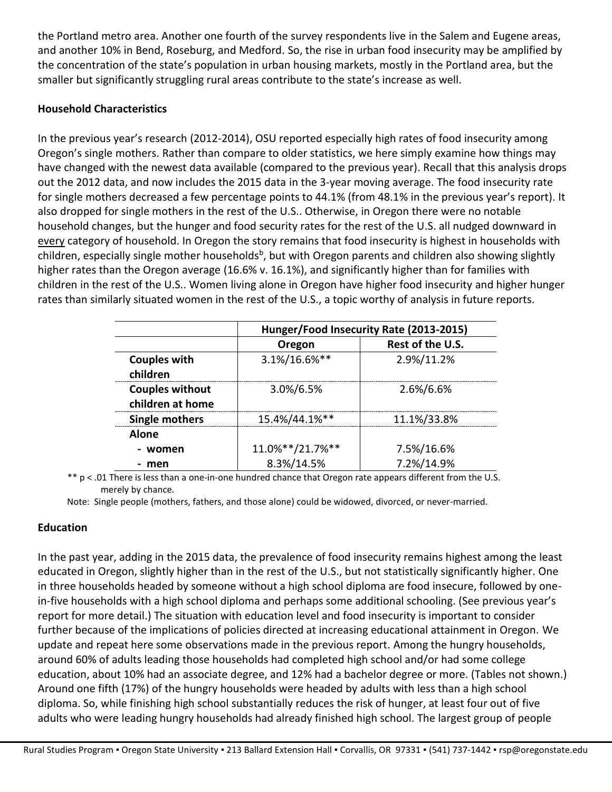the Portland metro area. Another one fourth of the survey respondents live in the Salem and Eugene areas, and another 10% in Bend, Roseburg, and Medford. So, the rise in urban food insecurity may be amplified by the concentration of the state's population in urban housing markets, mostly in the Portland area, but the smaller but significantly struggling rural areas contribute to the state's increase as well.

#### **Household Characteristics**

In the previous year's research (2012-2014), OSU reported especially high rates of food insecurity among Oregon's single mothers. Rather than compare to older statistics, we here simply examine how things may have changed with the newest data available (compared to the previous year). Recall that this analysis drops out the 2012 data, and now includes the 2015 data in the 3-year moving average. The food insecurity rate for single mothers decreased a few percentage points to 44.1% (from 48.1% in the previous year's report). It also dropped for single mothers in the rest of the U.S.. Otherwise, in Oregon there were no notable household changes, but the hunger and food security rates for the rest of the U.S. all nudged downward in every category of household. In Oregon the story remains that food insecurity is highest in households with children, especially single mother households<sup>b</sup>, but with Oregon parents and children also showing slightly higher rates than the Oregon average (16.6% v. 16.1%), and significantly higher than for families with children in the rest of the U.S.. Women living alone in Oregon have higher food insecurity and higher hunger rates than similarly situated women in the rest of the U.S., a topic worthy of analysis in future reports.

|                                            | Hunger/Food Insecurity Rate (2013-2015) |                  |  |
|--------------------------------------------|-----------------------------------------|------------------|--|
|                                            | Oregon                                  | Rest of the U.S. |  |
| <b>Couples with</b><br>children            | 3.1%/16.6%**                            | 2.9%/11.2%       |  |
| <b>Couples without</b><br>children at home | 3.0%/6.5%                               | 2.6%/6.6%        |  |
| <b>Single mothers</b>                      | 15.4%/44.1%**                           | 11.1%/33.8%      |  |
| <b>Alone</b>                               |                                         |                  |  |
| - women                                    | 11.0%**/21.7%**                         | 7.5%/16.6%       |  |
| - men                                      | 8.3%/14.5%                              | 7.2%/14.9%       |  |

\*\* p < .01 There is less than a one-in-one hundred chance that Oregon rate appears different from the U.S. merely by chance.

Note: Single people (mothers, fathers, and those alone) could be widowed, divorced, or never-married.

### **Education**

In the past year, adding in the 2015 data, the prevalence of food insecurity remains highest among the least educated in Oregon, slightly higher than in the rest of the U.S., but not statistically significantly higher. One in three households headed by someone without a high school diploma are food insecure, followed by onein-five households with a high school diploma and perhaps some additional schooling. (See previous year's report for more detail.) The situation with education level and food insecurity is important to consider further because of the implications of policies directed at increasing educational attainment in Oregon. We update and repeat here some observations made in the previous report. Among the hungry households, around 60% of adults leading those households had completed high school and/or had some college education, about 10% had an associate degree, and 12% had a bachelor degree or more. (Tables not shown.) Around one fifth (17%) of the hungry households were headed by adults with less than a high school diploma. So, while finishing high school substantially reduces the risk of hunger, at least four out of five adults who were leading hungry households had already finished high school. The largest group of people